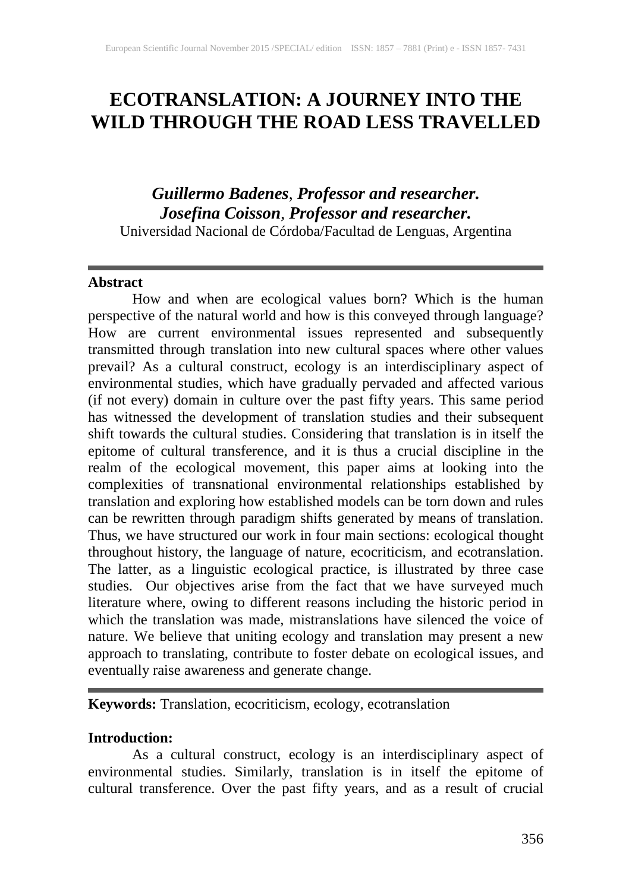# **ECOTRANSLATION: A JOURNEY INTO THE WILD THROUGH THE ROAD LESS TRAVELLED**

# *Guillermo Badenes, Professor and researcher. Josefina Coisson, Professor and researcher.*

Universidad Nacional de Córdoba/Facultad de Lenguas, Argentina

# **Abstract**

How and when are ecological values born? Which is the human perspective of the natural world and how is this conveyed through language? How are current environmental issues represented and subsequently transmitted through translation into new cultural spaces where other values prevail? As a cultural construct, ecology is an interdisciplinary aspect of environmental studies, which have gradually pervaded and affected various (if not every) domain in culture over the past fifty years. This same period has witnessed the development of translation studies and their subsequent shift towards the cultural studies. Considering that translation is in itself the epitome of cultural transference, and it is thus a crucial discipline in the realm of the ecological movement, this paper aims at looking into the complexities of transnational environmental relationships established by translation and exploring how established models can be torn down and rules can be rewritten through paradigm shifts generated by means of translation. Thus, we have structured our work in four main sections: ecological thought throughout history, the language of nature, ecocriticism, and ecotranslation. The latter, as a linguistic ecological practice, is illustrated by three case studies. Our objectives arise from the fact that we have surveyed much literature where, owing to different reasons including the historic period in which the translation was made, mistranslations have silenced the voice of nature. We believe that uniting ecology and translation may present a new approach to translating, contribute to foster debate on ecological issues, and eventually raise awareness and generate change.

# **Keywords:** Translation, ecocriticism, ecology, ecotranslation

# **Introduction:**

As a cultural construct, ecology is an interdisciplinary aspect of environmental studies. Similarly, translation is in itself the epitome of cultural transference. Over the past fifty years, and as a result of crucial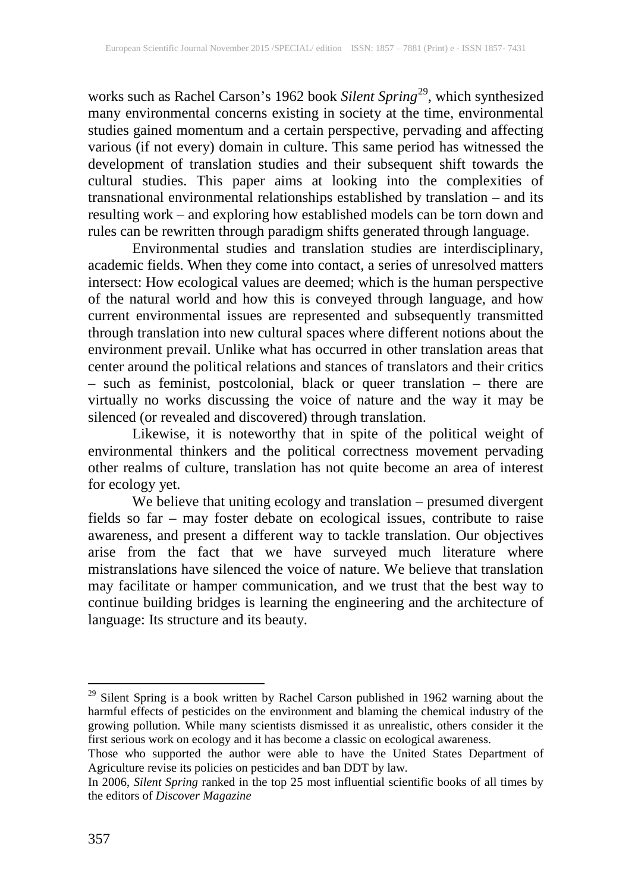works such as Rachel Carson's 1962 book *Silent Spring* [29](#page--1-0) , which synthesized many environmental concerns existing in society at the time, environmental studies gained momentum and a certain perspective, pervading and affecting various (if not every) domain in culture. This same period has witnessed the development of translation studies and their subsequent shift towards the cultural studies. This paper aims at looking into the complexities of transnational environmental relationships established by translation – and its resulting work – and exploring how established models can be torn down and rules can be rewritten through paradigm shifts generated through language.

Environmental studies and translation studies are interdisciplinary, academic fields. When they come into contact, a series of unresolved matters intersect: How ecological values are deemed; which is the human perspective of the natural world and how this is conveyed through language, and how current environmental issues are represented and subsequently transmitted through translation into new cultural spaces where different notions about the environment prevail. Unlike what has occurred in other translation areas that center around the political relations and stances of translators and their critics – such as feminist, postcolonial, black or queer translation – there are virtually no works discussing the voice of nature and the way it may be silenced (or revealed and discovered) through translation.

Likewise, it is noteworthy that in spite of the political weight of environmental thinkers and the political correctness movement pervading other realms of culture, translation has not quite become an area of interest for ecology yet.

We believe that uniting ecology and translation – presumed divergent fields so far – may foster debate on ecological issues, contribute to raise awareness, and present a different way to tackle translation. Our objectives arise from the fact that we have surveyed much literature where mistranslations have silenced the voice of nature. We believe that translation may facilitate or hamper communication, and we trust that the best way to continue building bridges is learning the engineering and the architecture of language: Its structure and its beauty.

<sup>&</sup>lt;sup>29</sup> Silent Spring is a book written by Rachel Carson published in 1962 warning about the harmful effects of pesticides on the environment and blaming the chemical industry of the growing pollution. While many scientists dismissed it as unrealistic, others consider it the first serious work on ecology and it has become a classic on ecological awareness.

Those who supported the author were able to have the United States Department of Agriculture revise its policies on pesticides and ban DDT by law.

In 2006, *Silent Spring* ranked in the top 25 most influential scientific books of all times by the editors of *Discover Magazine*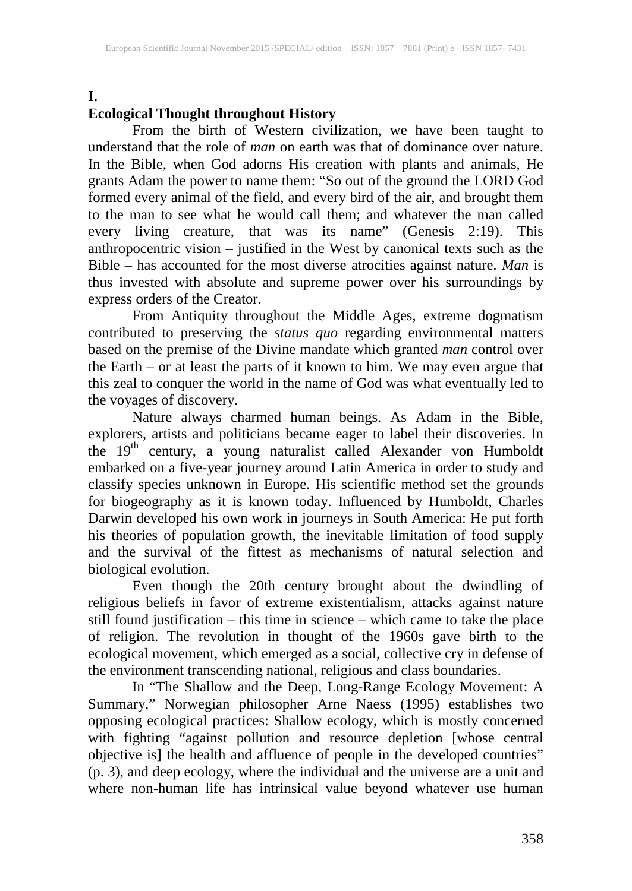#### **I.**

# **Ecological Thought throughout History**

From the birth of Western civilization, we have been taught to understand that the role of *man* on earth was that of dominance over nature. In the Bible, when God adorns His creation with plants and animals, He grants Adam the power to name them: "So out of the ground the LORD God formed every animal of the field, and every bird of the air, and brought them to the man to see what he would call them; and whatever the man called every living creature, that was its name" (Genesis 2:19). This anthropocentric vision – justified in the West by canonical texts such as the Bible – has accounted for the most diverse atrocities against nature. *Man* is thus invested with absolute and supreme power over his surroundings by express orders of the Creator.

From Antiquity throughout the Middle Ages, extreme dogmatism contributed to preserving the *status quo* regarding environmental matters based on the premise of the Divine mandate which granted *man* control over the Earth – or at least the parts of it known to him. We may even argue that this zeal to conquer the world in the name of God was what eventually led to the voyages of discovery.

Nature always charmed human beings. As Adam in the Bible, explorers, artists and politicians became eager to label their discoveries. In the 19<sup>th</sup> century, a young naturalist called Alexander von Humboldt embarked on a five-year journey around Latin America in order to study and classify species unknown in Europe. His scientific method set the grounds for biogeography as it is known today. Influenced by Humboldt, Charles Darwin developed his own work in journeys in South America: He put forth his theories of population growth, the inevitable limitation of food supply and the survival of the fittest as mechanisms of natural selection and biological evolution.

Even though the 20th century brought about the dwindling of religious beliefs in favor of extreme existentialism, attacks against nature still found justification – this time in science – which came to take the place of religion. The revolution in thought of the 1960s gave birth to the ecological movement, which emerged as a social, collective cry in defense of the environment transcending national, religious and class boundaries.

In "The Shallow and the Deep, Long-Range Ecology Movement: A Summary," Norwegian philosopher Arne Naess (1995) establishes two opposing ecological practices: Shallow ecology, which is mostly concerned with fighting "against pollution and resource depletion [whose central objective is] the health and affluence of people in the developed countries" (p. 3), and deep ecology, where the individual and the universe are a unit and where non-human life has intrinsical value beyond whatever use human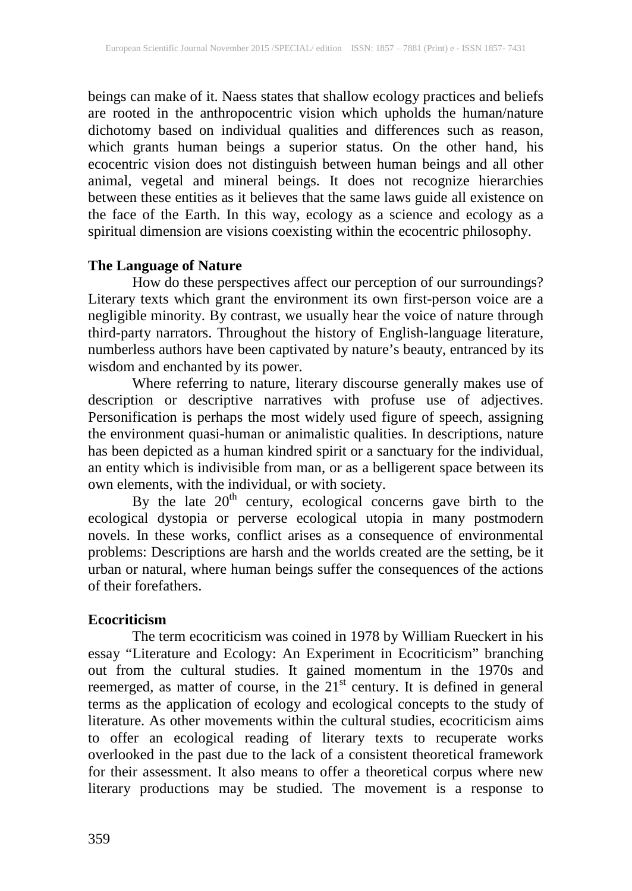beings can make of it. Naess states that shallow ecology practices and beliefs are rooted in the anthropocentric vision which upholds the human/nature dichotomy based on individual qualities and differences such as reason, which grants human beings a superior status. On the other hand, his ecocentric vision does not distinguish between human beings and all other animal, vegetal and mineral beings. It does not recognize hierarchies between these entities as it believes that the same laws guide all existence on the face of the Earth. In this way, ecology as a science and ecology as a spiritual dimension are visions coexisting within the ecocentric philosophy.

# **The Language of Nature**

How do these perspectives affect our perception of our surroundings? Literary texts which grant the environment its own first-person voice are a negligible minority. By contrast, we usually hear the voice of nature through third-party narrators. Throughout the history of English-language literature, numberless authors have been captivated by nature's beauty, entranced by its wisdom and enchanted by its power.

Where referring to nature, literary discourse generally makes use of description or descriptive narratives with profuse use of adjectives. Personification is perhaps the most widely used figure of speech, assigning the environment quasi-human or animalistic qualities. In descriptions, nature has been depicted as a human kindred spirit or a sanctuary for the individual, an entity which is indivisible from man, or as a belligerent space between its own elements, with the individual, or with society.

By the late  $20<sup>th</sup>$  century, ecological concerns gave birth to the ecological dystopia or perverse ecological utopia in many postmodern novels. In these works, conflict arises as a consequence of environmental problems: Descriptions are harsh and the worlds created are the setting, be it urban or natural, where human beings suffer the consequences of the actions of their forefathers.

# **Ecocriticism**

The term ecocriticism was coined in 1978 by William Rueckert in his essay "Literature and Ecology: An Experiment in Ecocriticism" branching out from the cultural studies. It gained momentum in the 1970s and reemerged, as matter of course, in the  $21<sup>st</sup>$  century. It is defined in general terms as the application of ecology and ecological concepts to the study of literature. As other movements within the cultural studies, ecocriticism aims to offer an ecological reading of literary texts to recuperate works overlooked in the past due to the lack of a consistent theoretical framework for their assessment. It also means to offer a theoretical corpus where new literary productions may be studied. The movement is a response to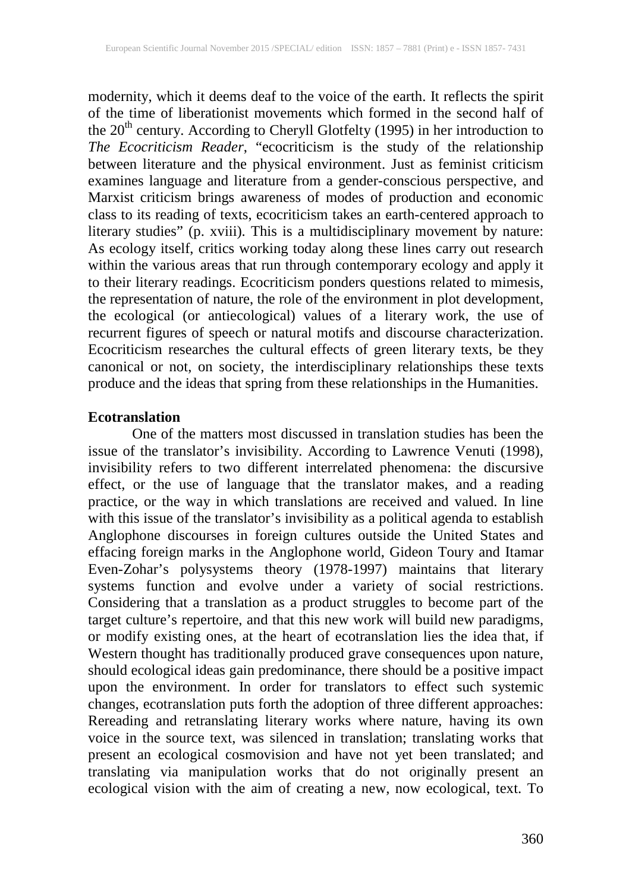modernity, which it deems deaf to the voice of the earth. It reflects the spirit of the time of liberationist movements which formed in the second half of the  $20<sup>th</sup>$  century. According to Cheryll Glotfelty (1995) in her introduction to *The Ecocriticism Reader*, "ecocriticism is the study of the relationship between literature and the physical environment. Just as feminist criticism examines language and literature from a gender-conscious perspective, and Marxist criticism brings awareness of modes of production and economic class to its reading of texts, ecocriticism takes an earth-centered approach to literary studies" (p. xviii). This is a multidisciplinary movement by nature: As ecology itself, critics working today along these lines carry out research within the various areas that run through contemporary ecology and apply it to their literary readings. Ecocriticism ponders questions related to mimesis, the representation of nature, the role of the environment in plot development, the ecological (or antiecological) values of a literary work, the use of recurrent figures of speech or natural motifs and discourse characterization. Ecocriticism researches the cultural effects of green literary texts, be they canonical or not, on society, the interdisciplinary relationships these texts produce and the ideas that spring from these relationships in the Humanities.

# **Ecotranslation**

One of the matters most discussed in translation studies has been the issue of the translator's invisibility. According to Lawrence Venuti (1998), invisibility refers to two different interrelated phenomena: the discursive effect, or the use of language that the translator makes, and a reading practice, or the way in which translations are received and valued. In line with this issue of the translator's invisibility as a political agenda to establish Anglophone discourses in foreign cultures outside the United States and effacing foreign marks in the Anglophone world, Gideon Toury and Itamar Even-Zohar's polysystems theory (1978-1997) maintains that literary systems function and evolve under a variety of social restrictions. Considering that a translation as a product struggles to become part of the target culture's repertoire, and that this new work will build new paradigms, or modify existing ones, at the heart of ecotranslation lies the idea that, if Western thought has traditionally produced grave consequences upon nature, should ecological ideas gain predominance, there should be a positive impact upon the environment. In order for translators to effect such systemic changes, ecotranslation puts forth the adoption of three different approaches: Rereading and retranslating literary works where nature, having its own voice in the source text, was silenced in translation; translating works that present an ecological cosmovision and have not yet been translated; and translating via manipulation works that do not originally present an ecological vision with the aim of creating a new, now ecological, text. To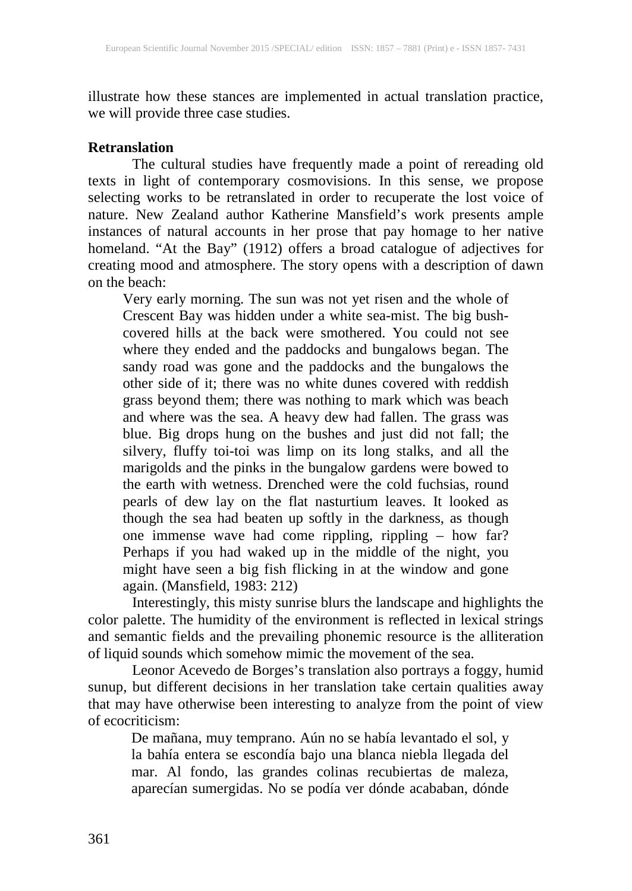illustrate how these stances are implemented in actual translation practice, we will provide three case studies.

#### **Retranslation**

The cultural studies have frequently made a point of rereading old texts in light of contemporary cosmovisions. In this sense, we propose selecting works to be retranslated in order to recuperate the lost voice of nature. New Zealand author Katherine Mansfield's work presents ample instances of natural accounts in her prose that pay homage to her native homeland. "At the Bay" (1912) offers a broad catalogue of adjectives for creating mood and atmosphere. The story opens with a description of dawn on the beach:

Very early morning. The sun was not yet risen and the whole of Crescent Bay was hidden under a white sea-mist. The big bushcovered hills at the back were smothered. You could not see where they ended and the paddocks and bungalows began. The sandy road was gone and the paddocks and the bungalows the other side of it; there was no white dunes covered with reddish grass beyond them; there was nothing to mark which was beach and where was the sea. A heavy dew had fallen. The grass was blue. Big drops hung on the bushes and just did not fall; the silvery, fluffy toi-toi was limp on its long stalks, and all the marigolds and the pinks in the bungalow gardens were bowed to the earth with wetness. Drenched were the cold fuchsias, round pearls of dew lay on the flat nasturtium leaves. It looked as though the sea had beaten up softly in the darkness, as though one immense wave had come rippling, rippling – how far? Perhaps if you had waked up in the middle of the night, you might have seen a big fish flicking in at the window and gone again. (Mansfield, 1983: 212)

Interestingly, this misty sunrise blurs the landscape and highlights the color palette. The humidity of the environment is reflected in lexical strings and semantic fields and the prevailing phonemic resource is the alliteration of liquid sounds which somehow mimic the movement of the sea.

Leonor Acevedo de Borges's translation also portrays a foggy, humid sunup, but different decisions in her translation take certain qualities away that may have otherwise been interesting to analyze from the point of view of ecocriticism:

De mañana, muy temprano. Aún no se había levantado el sol, y la bahía entera se escondía bajo una blanca niebla llegada del mar. Al fondo, las grandes colinas recubiertas de maleza, aparecían sumergidas. No se podía ver dónde acababan, dónde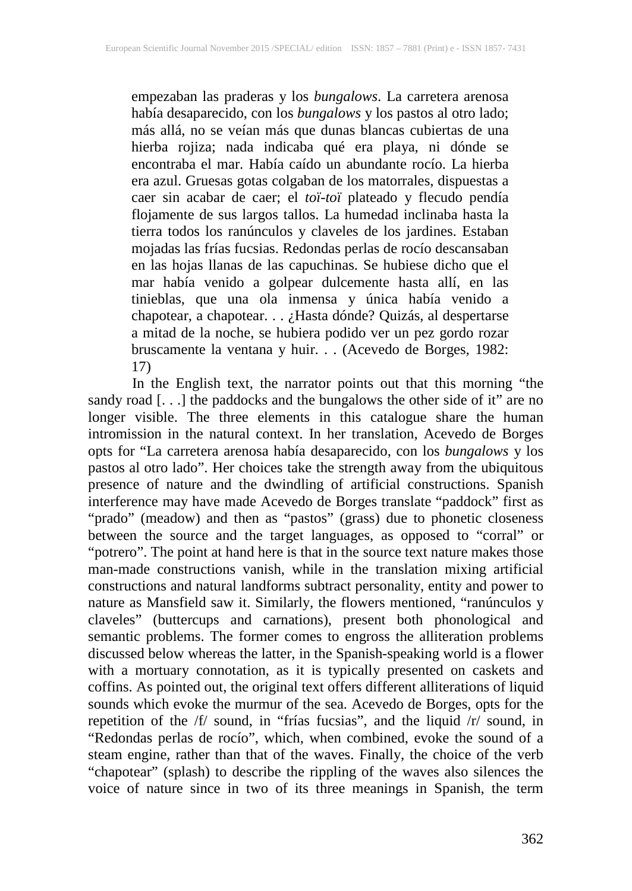empezaban las praderas y los *bungalows*. La carretera arenosa había desaparecido, con los *bungalows* y los pastos al otro lado; más allá, no se veían más que dunas blancas cubiertas de una hierba rojiza; nada indicaba qué era playa, ni dónde se encontraba el mar. Había caído un abundante rocío. La hierba era azul. Gruesas gotas colgaban de los matorrales, dispuestas a caer sin acabar de caer; el *toï-toï* plateado y flecudo pendía flojamente de sus largos tallos. La humedad inclinaba hasta la tierra todos los ranúnculos y claveles de los jardines. Estaban mojadas las frías fucsias. Redondas perlas de rocío descansaban en las hojas llanas de las capuchinas. Se hubiese dicho que el mar había venido a golpear dulcemente hasta allí, en las tinieblas, que una ola inmensa y única había venido a chapotear, a chapotear. . . ¿Hasta dónde? Quizás, al despertarse a mitad de la noche, se hubiera podido ver un pez gordo rozar bruscamente la ventana y huir. . . (Acevedo de Borges, 1982: 17)

In the English text, the narrator points out that this morning "the sandy road [. . .] the paddocks and the bungalows the other side of it" are no longer visible. The three elements in this catalogue share the human intromission in the natural context. In her translation, Acevedo de Borges opts for "La carretera arenosa había desaparecido, con los *bungalows* y los pastos al otro lado". Her choices take the strength away from the ubiquitous presence of nature and the dwindling of artificial constructions. Spanish interference may have made Acevedo de Borges translate "paddock" first as "prado" (meadow) and then as "pastos" (grass) due to phonetic closeness between the source and the target languages, as opposed to "corral" or "potrero". The point at hand here is that in the source text nature makes those man-made constructions vanish, while in the translation mixing artificial constructions and natural landforms subtract personality, entity and power to nature as Mansfield saw it. Similarly, the flowers mentioned, "ranúnculos y claveles" (buttercups and carnations), present both phonological and semantic problems. The former comes to engross the alliteration problems discussed below whereas the latter, in the Spanish-speaking world is a flower with a mortuary connotation, as it is typically presented on caskets and coffins. As pointed out, the original text offers different alliterations of liquid sounds which evoke the murmur of the sea. Acevedo de Borges, opts for the repetition of the /f/ sound, in "frías fucsias", and the liquid /r/ sound, in "Redondas perlas de rocío", which, when combined, evoke the sound of a steam engine, rather than that of the waves. Finally, the choice of the verb "chapotear" (splash) to describe the rippling of the waves also silences the voice of nature since in two of its three meanings in Spanish, the term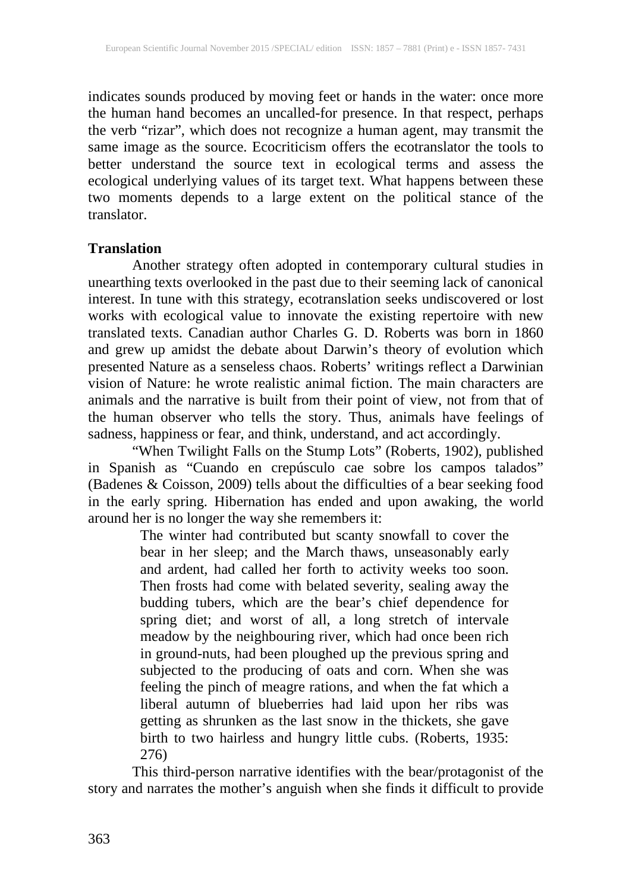indicates sounds produced by moving feet or hands in the water: once more the human hand becomes an uncalled-for presence. In that respect, perhaps the verb "rizar", which does not recognize a human agent, may transmit the same image as the source. Ecocriticism offers the ecotranslator the tools to better understand the source text in ecological terms and assess the ecological underlying values of its target text. What happens between these two moments depends to a large extent on the political stance of the translator.

# **Translation**

Another strategy often adopted in contemporary cultural studies in unearthing texts overlooked in the past due to their seeming lack of canonical interest. In tune with this strategy, ecotranslation seeks undiscovered or lost works with ecological value to innovate the existing repertoire with new translated texts. Canadian author Charles G. D. Roberts was born in 1860 and grew up amidst the debate about Darwin's theory of evolution which presented Nature as a senseless chaos. Roberts' writings reflect a Darwinian vision of Nature: he wrote realistic animal fiction. The main characters are animals and the narrative is built from their point of view, not from that of the human observer who tells the story. Thus, animals have feelings of sadness, happiness or fear, and think, understand, and act accordingly.

"When Twilight Falls on the Stump Lots" (Roberts, 1902), published in Spanish as "Cuando en crepúsculo cae sobre los campos talados" (Badenes & Coisson, 2009) tells about the difficulties of a bear seeking food in the early spring. Hibernation has ended and upon awaking, the world around her is no longer the way she remembers it:

The winter had contributed but scanty snowfall to cover the bear in her sleep; and the March thaws, unseasonably early and ardent, had called her forth to activity weeks too soon. Then frosts had come with belated severity, sealing away the budding tubers, which are the bear's chief dependence for spring diet; and worst of all, a long stretch of intervale meadow by the neighbouring river, which had once been rich in ground-nuts, had been ploughed up the previous spring and subjected to the producing of oats and corn. When she was feeling the pinch of meagre rations, and when the fat which a liberal autumn of blueberries had laid upon her ribs was getting as shrunken as the last snow in the thickets, she gave birth to two hairless and hungry little cubs. (Roberts, 1935: 276)

This third-person narrative identifies with the bear/protagonist of the story and narrates the mother's anguish when she finds it difficult to provide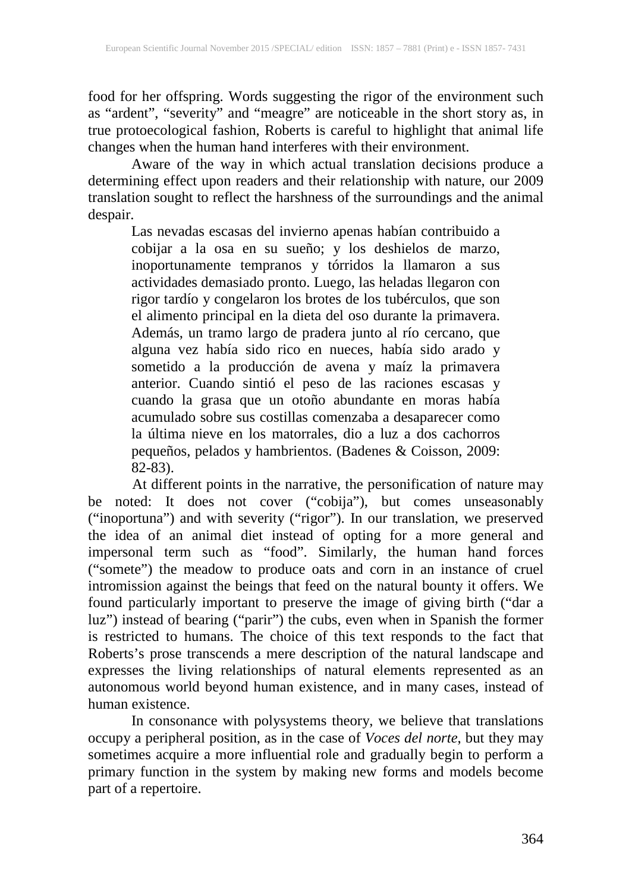food for her offspring. Words suggesting the rigor of the environment such as "ardent", "severity" and "meagre" are noticeable in the short story as, in true protoecological fashion, Roberts is careful to highlight that animal life changes when the human hand interferes with their environment.

Aware of the way in which actual translation decisions produce a determining effect upon readers and their relationship with nature, our 2009 translation sought to reflect the harshness of the surroundings and the animal despair.

Las nevadas escasas del invierno apenas habían contribuido a cobijar a la osa en su sueño; y los deshielos de marzo, inoportunamente tempranos y tórridos la llamaron a sus actividades demasiado pronto. Luego, las heladas llegaron con rigor tardío y congelaron los brotes de los tubérculos, que son el alimento principal en la dieta del oso durante la primavera. Además, un tramo largo de pradera junto al río cercano, que alguna vez había sido rico en nueces, había sido arado y sometido a la producción de avena y maíz la primavera anterior. Cuando sintió el peso de las raciones escasas y cuando la grasa que un otoño abundante en moras había acumulado sobre sus costillas comenzaba a desaparecer como la última nieve en los matorrales, dio a luz a dos cachorros pequeños, pelados y hambrientos. (Badenes & Coisson, 2009: 82-83).

At different points in the narrative, the personification of nature may be noted: It does not cover ("cobija"), but comes unseasonably ("inoportuna") and with severity ("rigor"). In our translation, we preserved the idea of an animal diet instead of opting for a more general and impersonal term such as "food". Similarly, the human hand forces ("somete") the meadow to produce oats and corn in an instance of cruel intromission against the beings that feed on the natural bounty it offers. We found particularly important to preserve the image of giving birth ("dar a luz") instead of bearing ("parir") the cubs, even when in Spanish the former is restricted to humans. The choice of this text responds to the fact that Roberts's prose transcends a mere description of the natural landscape and expresses the living relationships of natural elements represented as an autonomous world beyond human existence, and in many cases, instead of human existence.

In consonance with polysystems theory, we believe that translations occupy a peripheral position, as in the case of *Voces del norte*, but they may sometimes acquire a more influential role and gradually begin to perform a primary function in the system by making new forms and models become part of a repertoire.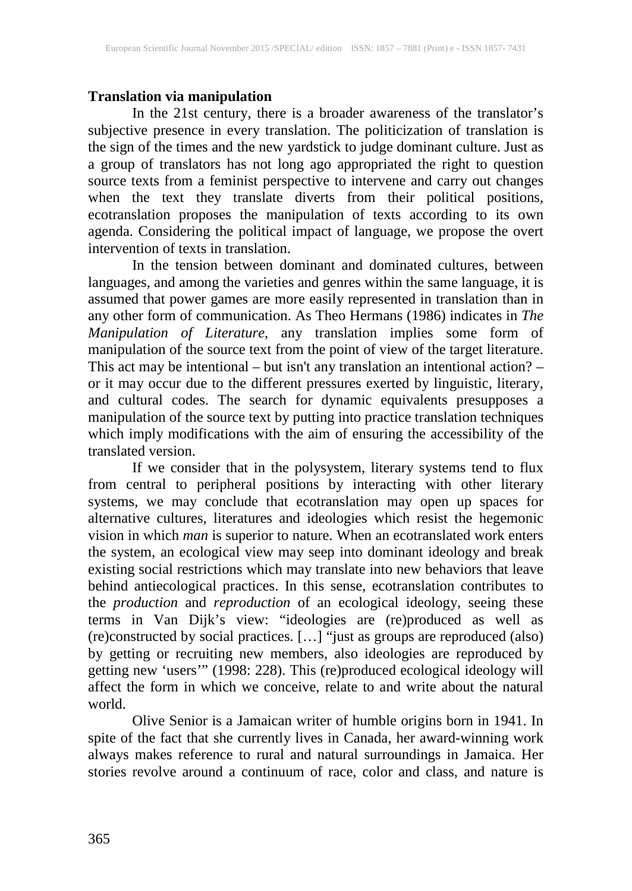# **Translation via manipulation**

In the 21st century, there is a broader awareness of the translator's subjective presence in every translation. The politicization of translation is the sign of the times and the new yardstick to judge dominant culture. Just as a group of translators has not long ago appropriated the right to question source texts from a feminist perspective to intervene and carry out changes when the text they translate diverts from their political positions, ecotranslation proposes the manipulation of texts according to its own agenda. Considering the political impact of language, we propose the overt intervention of texts in translation.

In the tension between dominant and dominated cultures, between languages, and among the varieties and genres within the same language, it is assumed that power games are more easily represented in translation than in any other form of communication. As Theo Hermans (1986) indicates in *The Manipulation of Literature*, any translation implies some form of manipulation of the source text from the point of view of the target literature. This act may be intentional – but isn't any translation an intentional action? – or it may occur due to the different pressures exerted by linguistic, literary, and cultural codes. The search for dynamic equivalents presupposes a manipulation of the source text by putting into practice translation techniques which imply modifications with the aim of ensuring the accessibility of the translated version.

If we consider that in the polysystem, literary systems tend to flux from central to peripheral positions by interacting with other literary systems, we may conclude that ecotranslation may open up spaces for alternative cultures, literatures and ideologies which resist the hegemonic vision in which *man* is superior to nature. When an ecotranslated work enters the system, an ecological view may seep into dominant ideology and break existing social restrictions which may translate into new behaviors that leave behind antiecological practices. In this sense, ecotranslation contributes to the *production* and *reproduction* of an ecological ideology, seeing these terms in Van Dijk's view: "ideologies are (re)produced as well as (re)constructed by social practices. […] "just as groups are reproduced (also) by getting or recruiting new members, also ideologies are reproduced by getting new 'users'" (1998: 228). This (re)produced ecological ideology will affect the form in which we conceive, relate to and write about the natural world.

Olive Senior is a Jamaican writer of humble origins born in 1941. In spite of the fact that she currently lives in Canada, her award-winning work always makes reference to rural and natural surroundings in Jamaica. Her stories revolve around a continuum of race, color and class, and nature is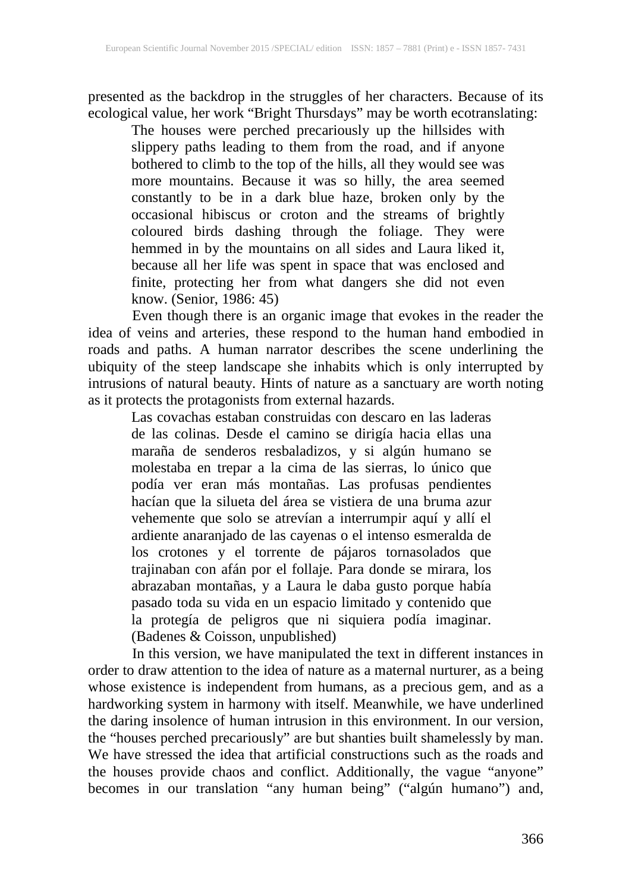presented as the backdrop in the struggles of her characters. Because of its ecological value, her work "Bright Thursdays" may be worth ecotranslating:

The houses were perched precariously up the hillsides with slippery paths leading to them from the road, and if anyone bothered to climb to the top of the hills, all they would see was more mountains. Because it was so hilly, the area seemed constantly to be in a dark blue haze, broken only by the occasional hibiscus or croton and the streams of brightly coloured birds dashing through the foliage. They were hemmed in by the mountains on all sides and Laura liked it, because all her life was spent in space that was enclosed and finite, protecting her from what dangers she did not even know. (Senior, 1986: 45)

Even though there is an organic image that evokes in the reader the idea of veins and arteries, these respond to the human hand embodied in roads and paths. A human narrator describes the scene underlining the ubiquity of the steep landscape she inhabits which is only interrupted by intrusions of natural beauty. Hints of nature as a sanctuary are worth noting as it protects the protagonists from external hazards.

Las covachas estaban construidas con descaro en las laderas de las colinas. Desde el camino se dirigía hacia ellas una maraña de senderos resbaladizos, y si algún humano se molestaba en trepar a la cima de las sierras, lo único que podía ver eran más montañas. Las profusas pendientes hacían que la silueta del área se vistiera de una bruma azur vehemente que solo se atrevían a interrumpir aquí y allí el ardiente anaranjado de las cayenas o el intenso esmeralda de los crotones y el torrente de pájaros tornasolados que trajinaban con afán por el follaje. Para donde se mirara, los abrazaban montañas, y a Laura le daba gusto porque había pasado toda su vida en un espacio limitado y contenido que la protegía de peligros que ni siquiera podía imaginar. (Badenes & Coisson, unpublished)

In this version, we have manipulated the text in different instances in order to draw attention to the idea of nature as a maternal nurturer, as a being whose existence is independent from humans, as a precious gem, and as a hardworking system in harmony with itself. Meanwhile, we have underlined the daring insolence of human intrusion in this environment. In our version, the "houses perched precariously" are but shanties built shamelessly by man. We have stressed the idea that artificial constructions such as the roads and the houses provide chaos and conflict. Additionally, the vague "anyone" becomes in our translation "any human being" ("algún humano") and,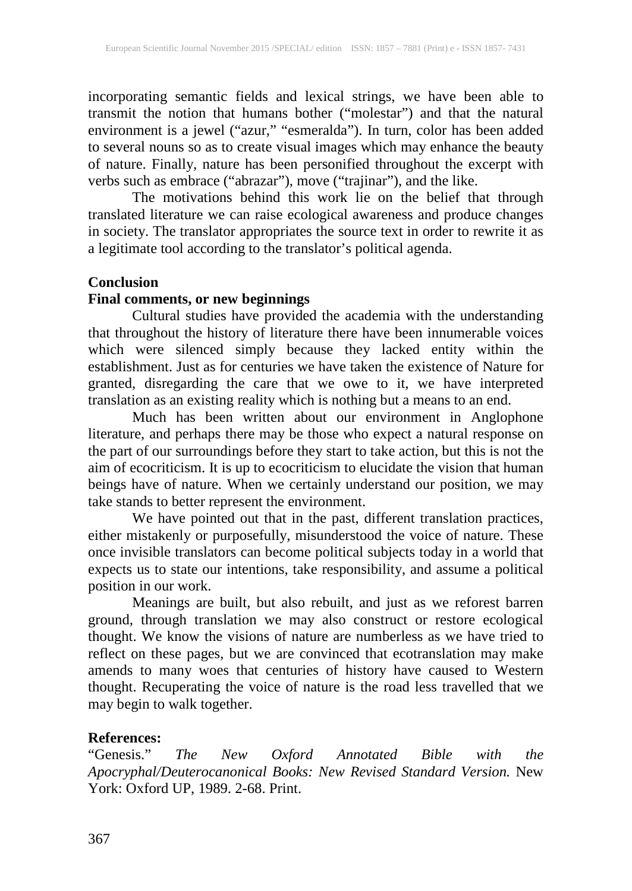incorporating semantic fields and lexical strings, we have been able to transmit the notion that humans bother ("molestar") and that the natural environment is a jewel ("azur," "esmeralda"). In turn, color has been added to several nouns so as to create visual images which may enhance the beauty of nature. Finally, nature has been personified throughout the excerpt with verbs such as embrace ("abrazar"), move ("trajinar"), and the like.

The motivations behind this work lie on the belief that through translated literature we can raise ecological awareness and produce changes in society. The translator appropriates the source text in order to rewrite it as a legitimate tool according to the translator's political agenda.

#### **Conclusion**

# **Final comments, or new beginnings**

Cultural studies have provided the academia with the understanding that throughout the history of literature there have been innumerable voices which were silenced simply because they lacked entity within the establishment. Just as for centuries we have taken the existence of Nature for granted, disregarding the care that we owe to it, we have interpreted translation as an existing reality which is nothing but a means to an end.

Much has been written about our environment in Anglophone literature, and perhaps there may be those who expect a natural response on the part of our surroundings before they start to take action, but this is not the aim of ecocriticism. It is up to ecocriticism to elucidate the vision that human beings have of nature. When we certainly understand our position, we may take stands to better represent the environment.

We have pointed out that in the past, different translation practices, either mistakenly or purposefully, misunderstood the voice of nature. These once invisible translators can become political subjects today in a world that expects us to state our intentions, take responsibility, and assume a political position in our work.

Meanings are built, but also rebuilt, and just as we reforest barren ground, through translation we may also construct or restore ecological thought. We know the visions of nature are numberless as we have tried to reflect on these pages, but we are convinced that ecotranslation may make amends to many woes that centuries of history have caused to Western thought. Recuperating the voice of nature is the road less travelled that we may begin to walk together.

# **References:**

"Genesis." *The New Oxford Annotated Bible with the Apocryphal/Deuterocanonical Books: New Revised Standard Version.* New York: Oxford UP, 1989. 2-68. Print.